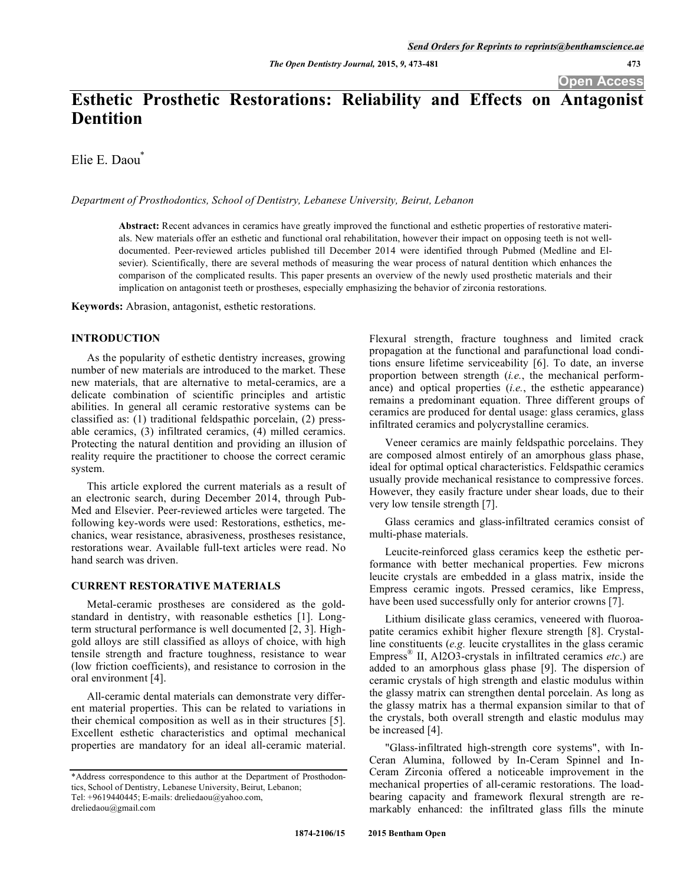# **Esthetic Prosthetic Restorations: Reliability and Effects on Antagonist Dentition**

Elie E. Daou\*

*Department of Prosthodontics, School of Dentistry, Lebanese University, Beirut, Lebanon* 

**Abstract:** Recent advances in ceramics have greatly improved the functional and esthetic properties of restorative materials. New materials offer an esthetic and functional oral rehabilitation, however their impact on opposing teeth is not welldocumented. Peer-reviewed articles published till December 2014 were identified through Pubmed (Medline and Elsevier). Scientifically, there are several methods of measuring the wear process of natural dentition which enhances the comparison of the complicated results. This paper presents an overview of the newly used prosthetic materials and their implication on antagonist teeth or prostheses, especially emphasizing the behavior of zirconia restorations.

**Keywords:** Abrasion, antagonist, esthetic restorations.

# **INTRODUCTION**

As the popularity of esthetic dentistry increases, growing number of new materials are introduced to the market. These new materials, that are alternative to metal-ceramics, are a delicate combination of scientific principles and artistic abilities. In general all ceramic restorative systems can be classified as: (1) traditional feldspathic porcelain, (2) pressable ceramics, (3) infiltrated ceramics, (4) milled ceramics. Protecting the natural dentition and providing an illusion of reality require the practitioner to choose the correct ceramic system.

This article explored the current materials as a result of an electronic search, during December 2014, through Pub-Med and Elsevier. Peer-reviewed articles were targeted. The following key-words were used: Restorations, esthetics, mechanics, wear resistance, abrasiveness, prostheses resistance, restorations wear. Available full-text articles were read. No hand search was driven.

# **CURRENT RESTORATIVE MATERIALS**

Metal-ceramic prostheses are considered as the goldstandard in dentistry, with reasonable esthetics [1]. Longterm structural performance is well documented [2, 3]. Highgold alloys are still classified as alloys of choice, with high tensile strength and fracture toughness, resistance to wear (low friction coefficients), and resistance to corrosion in the oral environment [4].

All-ceramic dental materials can demonstrate very different material properties. This can be related to variations in their chemical composition as well as in their structures [5]. Excellent esthetic characteristics and optimal mechanical properties are mandatory for an ideal all-ceramic material.

Flexural strength, fracture toughness and limited crack propagation at the functional and parafunctional load conditions ensure lifetime serviceability [6]. To date, an inverse proportion between strength (*i.e.*, the mechanical performance) and optical properties (*i.e.*, the esthetic appearance) remains a predominant equation. Three different groups of ceramics are produced for dental usage: glass ceramics, glass infiltrated ceramics and polycrystalline ceramics.

Veneer ceramics are mainly feldspathic porcelains. They are composed almost entirely of an amorphous glass phase, ideal for optimal optical characteristics. Feldspathic ceramics usually provide mechanical resistance to compressive forces. However, they easily fracture under shear loads, due to their very low tensile strength [7].

Glass ceramics and glass-infiltrated ceramics consist of multi-phase materials.

Leucite-reinforced glass ceramics keep the esthetic performance with better mechanical properties. Few microns leucite crystals are embedded in a glass matrix, inside the Empress ceramic ingots. Pressed ceramics, like Empress, have been used successfully only for anterior crowns [7].

Lithium disilicate glass ceramics, veneered with fluoroapatite ceramics exhibit higher flexure strength [8]. Crystalline constituents (*e.g.* leucite crystallites in the glass ceramic Empress® II, Al2O3-crystals in infiltrated ceramics *etc*.) are added to an amorphous glass phase [9]. The dispersion of ceramic crystals of high strength and elastic modulus within the glassy matrix can strengthen dental porcelain. As long as the glassy matrix has a thermal expansion similar to that of the crystals, both overall strength and elastic modulus may be increased [4].

"Glass-infiltrated high-strength core systems", with In-Ceran Alumina, followed by In-Ceram Spinnel and In-Ceram Zirconia offered a noticeable improvement in the mechanical properties of all-ceramic restorations. The loadbearing capacity and framework flexural strength are remarkably enhanced: the infiltrated glass fills the minute

<sup>\*</sup>Address correspondence to this author at the Department of Prosthodontics, School of Dentistry, Lebanese University, Beirut, Lebanon; Tel: +9619440445; E-mails: dreliedaou@yahoo.com, dreliedaou@gmail.com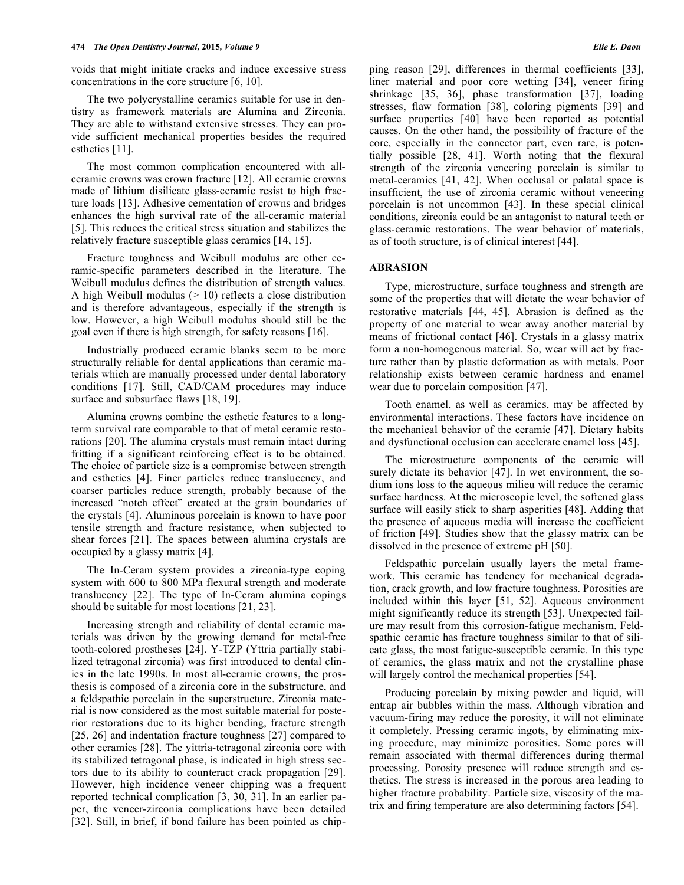voids that might initiate cracks and induce excessive stress concentrations in the core structure [6, 10].

The two polycrystalline ceramics suitable for use in dentistry as framework materials are Alumina and Zirconia. They are able to withstand extensive stresses. They can provide sufficient mechanical properties besides the required esthetics [11].

The most common complication encountered with allceramic crowns was crown fracture [12]. All ceramic crowns made of lithium disilicate glass-ceramic resist to high fracture loads [13]. Adhesive cementation of crowns and bridges enhances the high survival rate of the all-ceramic material [5]. This reduces the critical stress situation and stabilizes the relatively fracture susceptible glass ceramics [14, 15].

Fracture toughness and Weibull modulus are other ceramic-specific parameters described in the literature. The Weibull modulus defines the distribution of strength values. A high Weibull modulus  $(> 10)$  reflects a close distribution and is therefore advantageous, especially if the strength is low. However, a high Weibull modulus should still be the goal even if there is high strength, for safety reasons [16].

Industrially produced ceramic blanks seem to be more structurally reliable for dental applications than ceramic materials which are manually processed under dental laboratory conditions [17]. Still, CAD/CAM procedures may induce surface and subsurface flaws [18, 19].

Alumina crowns combine the esthetic features to a longterm survival rate comparable to that of metal ceramic restorations [20]. The alumina crystals must remain intact during fritting if a significant reinforcing effect is to be obtained. The choice of particle size is a compromise between strength and esthetics [4]. Finer particles reduce translucency, and coarser particles reduce strength, probably because of the increased "notch effect" created at the grain boundaries of the crystals [4]. Aluminous porcelain is known to have poor tensile strength and fracture resistance, when subjected to shear forces [21]. The spaces between alumina crystals are occupied by a glassy matrix [4].

The In-Ceram system provides a zirconia-type coping system with 600 to 800 MPa flexural strength and moderate translucency [22]. The type of In-Ceram alumina copings should be suitable for most locations [21, 23].

Increasing strength and reliability of dental ceramic materials was driven by the growing demand for metal-free tooth-colored prostheses [24]. Y-TZP (Yttria partially stabilized tetragonal zirconia) was first introduced to dental clinics in the late 1990s. In most all-ceramic crowns, the prosthesis is composed of a zirconia core in the substructure, and a feldspathic porcelain in the superstructure. Zirconia material is now considered as the most suitable material for posterior restorations due to its higher bending, fracture strength [25, 26] and indentation fracture toughness [27] compared to other ceramics [28]. The yittria-tetragonal zirconia core with its stabilized tetragonal phase, is indicated in high stress sectors due to its ability to counteract crack propagation [29]. However, high incidence veneer chipping was a frequent reported technical complication [3, 30, 31]. In an earlier paper, the veneer-zirconia complications have been detailed [32]. Still, in brief, if bond failure has been pointed as chipping reason [29], differences in thermal coefficients [33], liner material and poor core wetting [34], veneer firing shrinkage [35, 36], phase transformation [37], loading stresses, flaw formation [38], coloring pigments [39] and surface properties [40] have been reported as potential causes. On the other hand, the possibility of fracture of the core, especially in the connector part, even rare, is potentially possible [28, 41]. Worth noting that the flexural strength of the zirconia veneering porcelain is similar to metal-ceramics [41, 42]. When occlusal or palatal space is insufficient, the use of zirconia ceramic without veneering porcelain is not uncommon [43]. In these special clinical conditions, zirconia could be an antagonist to natural teeth or glass-ceramic restorations. The wear behavior of materials, as of tooth structure, is of clinical interest [44].

#### **ABRASION**

Type, microstructure, surface toughness and strength are some of the properties that will dictate the wear behavior of restorative materials [44, 45]. Abrasion is defined as the property of one material to wear away another material by means of frictional contact [46]. Crystals in a glassy matrix form a non-homogenous material. So, wear will act by fracture rather than by plastic deformation as with metals. Poor relationship exists between ceramic hardness and enamel wear due to porcelain composition [47].

Tooth enamel, as well as ceramics, may be affected by environmental interactions. These factors have incidence on the mechanical behavior of the ceramic [47]. Dietary habits and dysfunctional occlusion can accelerate enamel loss [45].

The microstructure components of the ceramic will surely dictate its behavior [47]. In wet environment, the sodium ions loss to the aqueous milieu will reduce the ceramic surface hardness. At the microscopic level, the softened glass surface will easily stick to sharp asperities [48]. Adding that the presence of aqueous media will increase the coefficient of friction [49]. Studies show that the glassy matrix can be dissolved in the presence of extreme pH [50].

Feldspathic porcelain usually layers the metal framework. This ceramic has tendency for mechanical degradation, crack growth, and low fracture toughness. Porosities are included within this layer [51, 52]. Aqueous environment might significantly reduce its strength [53]. Unexpected failure may result from this corrosion-fatigue mechanism. Feldspathic ceramic has fracture toughness similar to that of silicate glass, the most fatigue-susceptible ceramic. In this type of ceramics, the glass matrix and not the crystalline phase will largely control the mechanical properties [54].

Producing porcelain by mixing powder and liquid, will entrap air bubbles within the mass. Although vibration and vacuum-firing may reduce the porosity, it will not eliminate it completely. Pressing ceramic ingots, by eliminating mixing procedure, may minimize porosities. Some pores will remain associated with thermal differences during thermal processing. Porosity presence will reduce strength and esthetics. The stress is increased in the porous area leading to higher fracture probability. Particle size, viscosity of the matrix and firing temperature are also determining factors [54].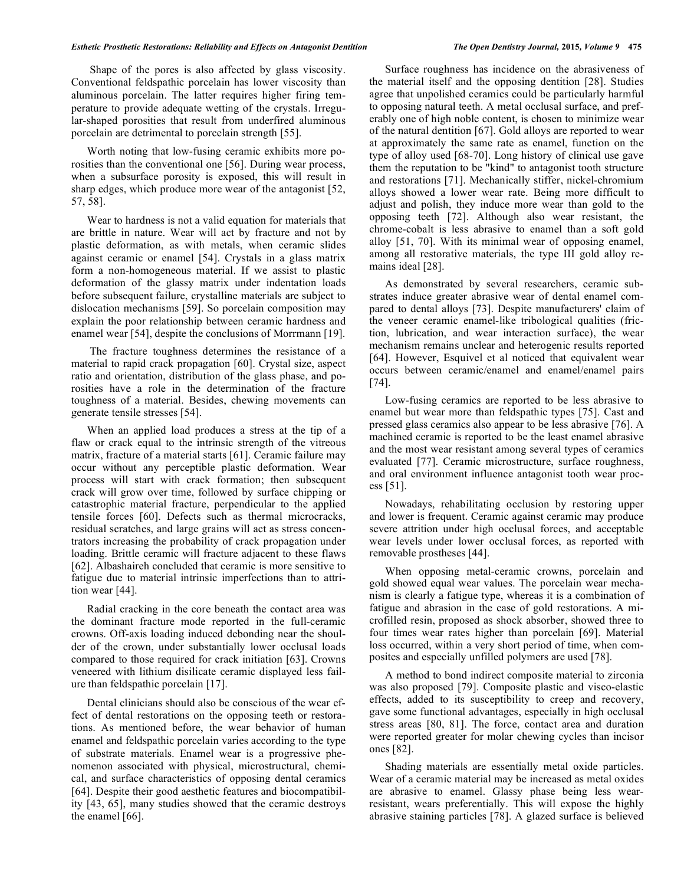Shape of the pores is also affected by glass viscosity. Conventional feldspathic porcelain has lower viscosity than aluminous porcelain. The latter requires higher firing temperature to provide adequate wetting of the crystals. Irregular-shaped porosities that result from underfired aluminous porcelain are detrimental to porcelain strength [55].

Worth noting that low-fusing ceramic exhibits more porosities than the conventional one [56]. During wear process, when a subsurface porosity is exposed, this will result in sharp edges, which produce more wear of the antagonist [52, 57, 58].

Wear to hardness is not a valid equation for materials that are brittle in nature. Wear will act by fracture and not by plastic deformation, as with metals, when ceramic slides against ceramic or enamel [54]. Crystals in a glass matrix form a non-homogeneous material. If we assist to plastic deformation of the glassy matrix under indentation loads before subsequent failure, crystalline materials are subject to dislocation mechanisms [59]. So porcelain composition may explain the poor relationship between ceramic hardness and enamel wear [54], despite the conclusions of Morrmann [19].

 The fracture toughness determines the resistance of a material to rapid crack propagation [60]. Crystal size, aspect ratio and orientation, distribution of the glass phase, and porosities have a role in the determination of the fracture toughness of a material. Besides, chewing movements can generate tensile stresses [54].

When an applied load produces a stress at the tip of a flaw or crack equal to the intrinsic strength of the vitreous matrix, fracture of a material starts [61]. Ceramic failure may occur without any perceptible plastic deformation. Wear process will start with crack formation; then subsequent crack will grow over time, followed by surface chipping or catastrophic material fracture, perpendicular to the applied tensile forces [60]. Defects such as thermal microcracks, residual scratches, and large grains will act as stress concentrators increasing the probability of crack propagation under loading. Brittle ceramic will fracture adjacent to these flaws [62]. Albashaireh concluded that ceramic is more sensitive to fatigue due to material intrinsic imperfections than to attrition wear [44].

Radial cracking in the core beneath the contact area was the dominant fracture mode reported in the full-ceramic crowns. Off-axis loading induced debonding near the shoulder of the crown, under substantially lower occlusal loads compared to those required for crack initiation [63]. Crowns veneered with lithium disilicate ceramic displayed less failure than feldspathic porcelain [17].

Dental clinicians should also be conscious of the wear effect of dental restorations on the opposing teeth or restorations. As mentioned before, the wear behavior of human enamel and feldspathic porcelain varies according to the type of substrate materials. Enamel wear is a progressive phenomenon associated with physical, microstructural, chemical, and surface characteristics of opposing dental ceramics [64]. Despite their good aesthetic features and biocompatibility [43, 65], many studies showed that the ceramic destroys the enamel [66].

Surface roughness has incidence on the abrasiveness of the material itself and the opposing dentition [28]. Studies agree that unpolished ceramics could be particularly harmful to opposing natural teeth. A metal occlusal surface, and preferably one of high noble content, is chosen to minimize wear of the natural dentition [67]. Gold alloys are reported to wear at approximately the same rate as enamel, function on the type of alloy used [68-70]. Long history of clinical use gave them the reputation to be "kind" to antagonist tooth structure and restorations [71]. Mechanically stiffer, nickel-chromium alloys showed a lower wear rate. Being more difficult to adjust and polish, they induce more wear than gold to the opposing teeth [72]. Although also wear resistant, the chrome-cobalt is less abrasive to enamel than a soft gold alloy [51, 70]. With its minimal wear of opposing enamel, among all restorative materials, the type III gold alloy remains ideal [28].

As demonstrated by several researchers, ceramic substrates induce greater abrasive wear of dental enamel compared to dental alloys [73]. Despite manufacturers' claim of the veneer ceramic enamel-like tribological qualities (friction, lubrication, and wear interaction surface), the wear mechanism remains unclear and heterogenic results reported [64]. However, Esquivel et al noticed that equivalent wear occurs between ceramic/enamel and enamel/enamel pairs [74].

Low-fusing ceramics are reported to be less abrasive to enamel but wear more than feldspathic types [75]. Cast and pressed glass ceramics also appear to be less abrasive [76]. A machined ceramic is reported to be the least enamel abrasive and the most wear resistant among several types of ceramics evaluated [77]. Ceramic microstructure, surface roughness, and oral environment influence antagonist tooth wear process [51].

Nowadays, rehabilitating occlusion by restoring upper and lower is frequent. Ceramic against ceramic may produce severe attrition under high occlusal forces, and acceptable wear levels under lower occlusal forces, as reported with removable prostheses [44].

When opposing metal-ceramic crowns, porcelain and gold showed equal wear values. The porcelain wear mechanism is clearly a fatigue type, whereas it is a combination of fatigue and abrasion in the case of gold restorations. A microfilled resin, proposed as shock absorber, showed three to four times wear rates higher than porcelain [69]. Material loss occurred, within a very short period of time, when composites and especially unfilled polymers are used [78].

A method to bond indirect composite material to zirconia was also proposed [79]. Composite plastic and visco-elastic effects, added to its susceptibility to creep and recovery, gave some functional advantages, especially in high occlusal stress areas [80, 81]. The force, contact area and duration were reported greater for molar chewing cycles than incisor ones [82].

Shading materials are essentially metal oxide particles. Wear of a ceramic material may be increased as metal oxides are abrasive to enamel. Glassy phase being less wearresistant, wears preferentially. This will expose the highly abrasive staining particles [78]. A glazed surface is believed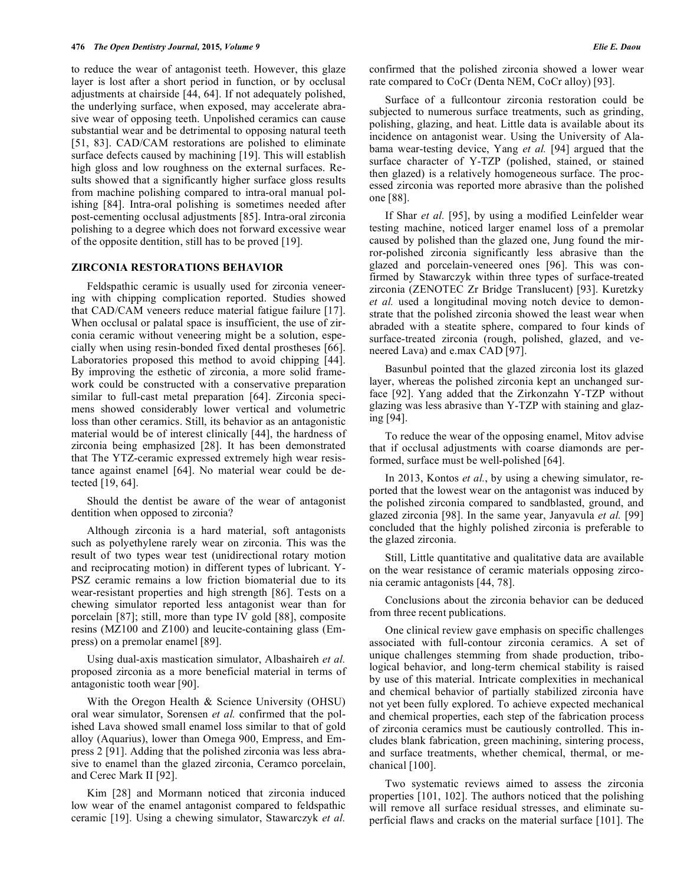to reduce the wear of antagonist teeth. However, this glaze layer is lost after a short period in function, or by occlusal adjustments at chairside [44, 64]. If not adequately polished, the underlying surface, when exposed, may accelerate abrasive wear of opposing teeth. Unpolished ceramics can cause substantial wear and be detrimental to opposing natural teeth [51, 83]. CAD/CAM restorations are polished to eliminate surface defects caused by machining [19]. This will establish high gloss and low roughness on the external surfaces. Results showed that a significantly higher surface gloss results from machine polishing compared to intra-oral manual polishing [84]. Intra-oral polishing is sometimes needed after post-cementing occlusal adjustments [85]. Intra-oral zirconia polishing to a degree which does not forward excessive wear of the opposite dentition, still has to be proved [19].

#### **ZIRCONIA RESTORATIONS BEHAVIOR**

Feldspathic ceramic is usually used for zirconia veneering with chipping complication reported. Studies showed that CAD/CAM veneers reduce material fatigue failure [17]. When occlusal or palatal space is insufficient, the use of zirconia ceramic without veneering might be a solution, especially when using resin-bonded fixed dental prostheses [66]. Laboratories proposed this method to avoid chipping [44]. By improving the esthetic of zirconia, a more solid framework could be constructed with a conservative preparation similar to full-cast metal preparation [64]. Zirconia specimens showed considerably lower vertical and volumetric loss than other ceramics. Still, its behavior as an antagonistic material would be of interest clinically [44], the hardness of zirconia being emphasized [28]. It has been demonstrated that The YTZ-ceramic expressed extremely high wear resistance against enamel [64]. No material wear could be detected [19, 64].

Should the dentist be aware of the wear of antagonist dentition when opposed to zirconia?

Although zirconia is a hard material, soft antagonists such as polyethylene rarely wear on zirconia. This was the result of two types wear test (unidirectional rotary motion and reciprocating motion) in different types of lubricant. Y-PSZ ceramic remains a low friction biomaterial due to its wear-resistant properties and high strength [86]. Tests on a chewing simulator reported less antagonist wear than for porcelain [87]; still, more than type IV gold [88], composite resins (MZ100 and Z100) and leucite-containing glass (Empress) on a premolar enamel [89].

Using dual-axis mastication simulator, Albashaireh *et al.* proposed zirconia as a more beneficial material in terms of antagonistic tooth wear [90].

With the Oregon Health & Science University (OHSU) oral wear simulator, Sorensen *et al.* confirmed that the polished Lava showed small enamel loss similar to that of gold alloy (Aquarius), lower than Omega 900, Empress, and Empress 2 [91]. Adding that the polished zirconia was less abrasive to enamel than the glazed zirconia, Ceramco porcelain, and Cerec Mark II [92].

Kim [28] and Mormann noticed that zirconia induced low wear of the enamel antagonist compared to feldspathic ceramic [19]. Using a chewing simulator, Stawarczyk *et al.* confirmed that the polished zirconia showed a lower wear rate compared to CoCr (Denta NEM, CoCr alloy) [93].

Surface of a fullcontour zirconia restoration could be subjected to numerous surface treatments, such as grinding, polishing, glazing, and heat. Little data is available about its incidence on antagonist wear. Using the University of Alabama wear-testing device, Yang *et al.* [94] argued that the surface character of Y-TZP (polished, stained, or stained then glazed) is a relatively homogeneous surface. The processed zirconia was reported more abrasive than the polished one [88].

If Shar *et al.* [95], by using a modified Leinfelder wear testing machine, noticed larger enamel loss of a premolar caused by polished than the glazed one, Jung found the mirror-polished zirconia significantly less abrasive than the glazed and porcelain-veneered ones [96]. This was confirmed by Stawarczyk within three types of surface-treated zirconia (ZENOTEC Zr Bridge Translucent) [93]. Kuretzky *et al.* used a longitudinal moving notch device to demonstrate that the polished zirconia showed the least wear when abraded with a steatite sphere, compared to four kinds of surface-treated zirconia (rough, polished, glazed, and veneered Lava) and e.max CAD [97].

Basunbul pointed that the glazed zirconia lost its glazed layer, whereas the polished zirconia kept an unchanged surface [92]. Yang added that the Zirkonzahn Y-TZP without glazing was less abrasive than Y-TZP with staining and glazing [94].

To reduce the wear of the opposing enamel, Mitov advise that if occlusal adjustments with coarse diamonds are performed, surface must be well-polished [64].

In 2013, Kontos *et al.*, by using a chewing simulator, reported that the lowest wear on the antagonist was induced by the polished zirconia compared to sandblasted, ground, and glazed zirconia [98]. In the same year, Janyavula *et al.* [99] concluded that the highly polished zirconia is preferable to the glazed zirconia.

Still, Little quantitative and qualitative data are available on the wear resistance of ceramic materials opposing zirconia ceramic antagonists [44, 78].

Conclusions about the zirconia behavior can be deduced from three recent publications.

One clinical review gave emphasis on specific challenges associated with full-contour zirconia ceramics. A set of unique challenges stemming from shade production, tribological behavior, and long-term chemical stability is raised by use of this material. Intricate complexities in mechanical and chemical behavior of partially stabilized zirconia have not yet been fully explored. To achieve expected mechanical and chemical properties, each step of the fabrication process of zirconia ceramics must be cautiously controlled. This includes blank fabrication, green machining, sintering process, and surface treatments, whether chemical, thermal, or mechanical [100].

Two systematic reviews aimed to assess the zirconia properties [101, 102]. The authors noticed that the polishing will remove all surface residual stresses, and eliminate superficial flaws and cracks on the material surface [101]. The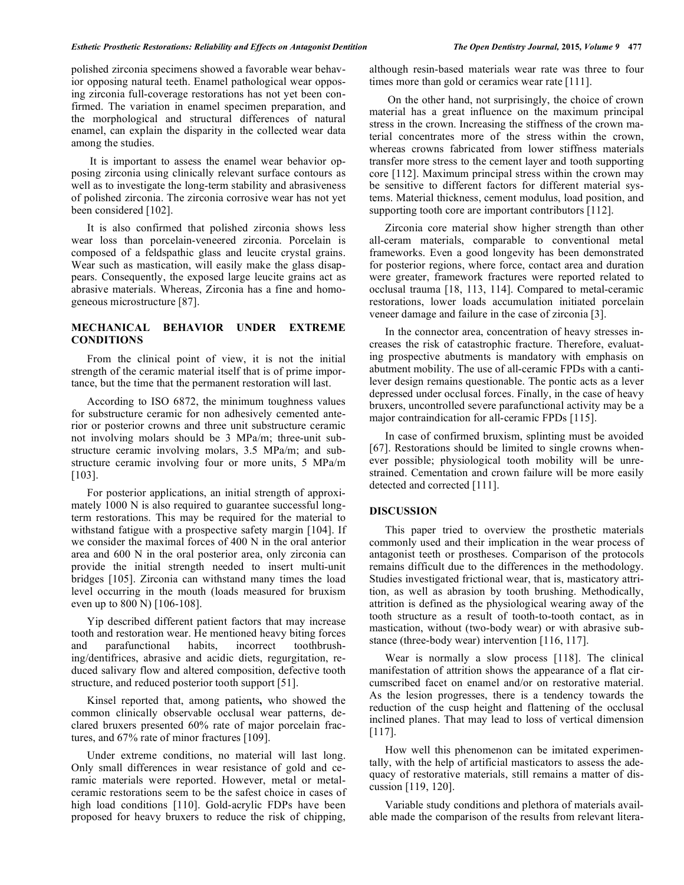polished zirconia specimens showed a favorable wear behavior opposing natural teeth. Enamel pathological wear opposing zirconia full-coverage restorations has not yet been confirmed. The variation in enamel specimen preparation, and the morphological and structural differences of natural enamel, can explain the disparity in the collected wear data among the studies.

 It is important to assess the enamel wear behavior opposing zirconia using clinically relevant surface contours as well as to investigate the long-term stability and abrasiveness of polished zirconia. The zirconia corrosive wear has not yet been considered [102].

It is also confirmed that polished zirconia shows less wear loss than porcelain-veneered zirconia. Porcelain is composed of a feldspathic glass and leucite crystal grains. Wear such as mastication, will easily make the glass disappears. Consequently, the exposed large leucite grains act as abrasive materials. Whereas, Zirconia has a fine and homogeneous microstructure [87].

## **MECHANICAL BEHAVIOR UNDER EXTREME CONDITIONS**

From the clinical point of view, it is not the initial strength of the ceramic material itself that is of prime importance, but the time that the permanent restoration will last.

According to ISO 6872, the minimum toughness values for substructure ceramic for non adhesively cemented anterior or posterior crowns and three unit substructure ceramic not involving molars should be 3 MPa/m; three-unit substructure ceramic involving molars, 3.5 MPa/m; and substructure ceramic involving four or more units, 5 MPa/m [103].

For posterior applications, an initial strength of approximately 1000 N is also required to guarantee successful longterm restorations. This may be required for the material to withstand fatigue with a prospective safety margin [104]. If we consider the maximal forces of 400 N in the oral anterior area and 600 N in the oral posterior area, only zirconia can provide the initial strength needed to insert multi-unit bridges [105]. Zirconia can withstand many times the load level occurring in the mouth (loads measured for bruxism even up to 800 N) [106-108].

Yip described different patient factors that may increase tooth and restoration wear. He mentioned heavy biting forces and parafunctional habits, incorrect toothbrushing/dentifrices, abrasive and acidic diets, regurgitation, reduced salivary flow and altered composition, defective tooth structure, and reduced posterior tooth support [51].

Kinsel reported that, among patients**,** who showed the common clinically observable occlusal wear patterns, declared bruxers presented 60% rate of major porcelain fractures, and 67% rate of minor fractures [109].

Under extreme conditions, no material will last long. Only small differences in wear resistance of gold and ceramic materials were reported. However, metal or metalceramic restorations seem to be the safest choice in cases of high load conditions [110]. Gold-acrylic FDPs have been proposed for heavy bruxers to reduce the risk of chipping,

although resin-based materials wear rate was three to four times more than gold or ceramics wear rate [111].

 On the other hand, not surprisingly, the choice of crown material has a great influence on the maximum principal stress in the crown. Increasing the stiffness of the crown material concentrates more of the stress within the crown, whereas crowns fabricated from lower stiffness materials transfer more stress to the cement layer and tooth supporting core [112]. Maximum principal stress within the crown may be sensitive to different factors for different material systems. Material thickness, cement modulus, load position, and supporting tooth core are important contributors [112].

Zirconia core material show higher strength than other all-ceram materials, comparable to conventional metal frameworks. Even a good longevity has been demonstrated for posterior regions, where force, contact area and duration were greater, framework fractures were reported related to occlusal trauma [18, 113, 114]. Compared to metal-ceramic restorations, lower loads accumulation initiated porcelain veneer damage and failure in the case of zirconia [3].

In the connector area, concentration of heavy stresses increases the risk of catastrophic fracture. Therefore, evaluating prospective abutments is mandatory with emphasis on abutment mobility. The use of all-ceramic FPDs with a cantilever design remains questionable. The pontic acts as a lever depressed under occlusal forces. Finally, in the case of heavy bruxers, uncontrolled severe parafunctional activity may be a major contraindication for all-ceramic FPDs [115].

In case of confirmed bruxism, splinting must be avoided [67]. Restorations should be limited to single crowns whenever possible; physiological tooth mobility will be unrestrained. Cementation and crown failure will be more easily detected and corrected [111].

### **DISCUSSION**

This paper tried to overview the prosthetic materials commonly used and their implication in the wear process of antagonist teeth or prostheses. Comparison of the protocols remains difficult due to the differences in the methodology. Studies investigated frictional wear, that is, masticatory attrition, as well as abrasion by tooth brushing. Methodically, attrition is defined as the physiological wearing away of the tooth structure as a result of tooth-to-tooth contact, as in mastication, without (two-body wear) or with abrasive substance (three-body wear) intervention [116, 117].

Wear is normally a slow process [118]. The clinical manifestation of attrition shows the appearance of a flat circumscribed facet on enamel and/or on restorative material. As the lesion progresses, there is a tendency towards the reduction of the cusp height and flattening of the occlusal inclined planes. That may lead to loss of vertical dimension [117].

How well this phenomenon can be imitated experimentally, with the help of artificial masticators to assess the adequacy of restorative materials, still remains a matter of discussion [119, 120].

Variable study conditions and plethora of materials available made the comparison of the results from relevant litera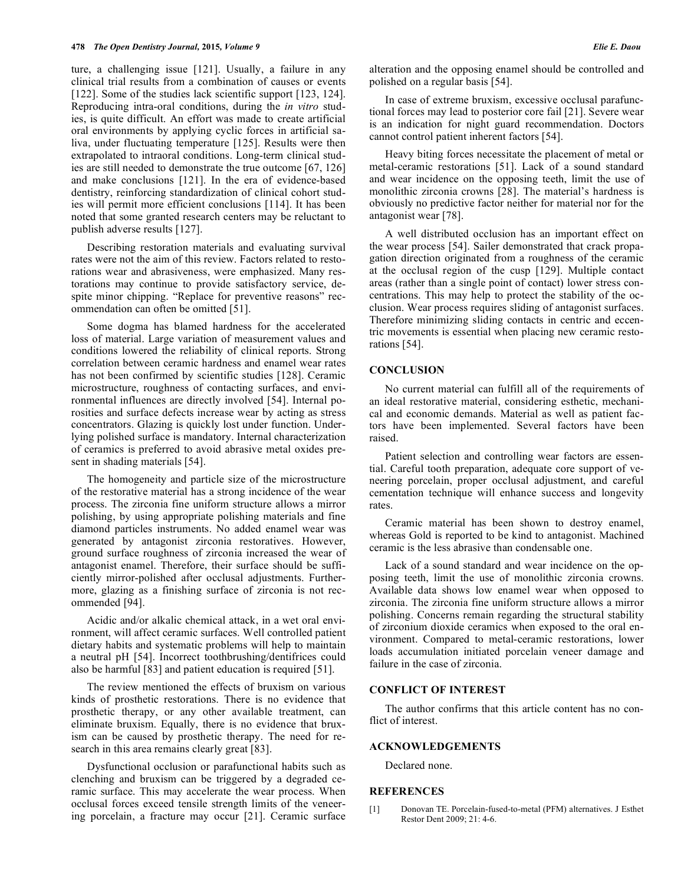ture, a challenging issue [121]. Usually, a failure in any clinical trial results from a combination of causes or events [122]. Some of the studies lack scientific support [123, 124]. Reproducing intra-oral conditions, during the *in vitro* studies, is quite difficult. An effort was made to create artificial oral environments by applying cyclic forces in artificial saliva, under fluctuating temperature [125]. Results were then extrapolated to intraoral conditions. Long-term clinical studies are still needed to demonstrate the true outcome [67, 126] and make conclusions [121]. In the era of evidence-based dentistry, reinforcing standardization of clinical cohort studies will permit more efficient conclusions [114]. It has been noted that some granted research centers may be reluctant to publish adverse results [127].

Describing restoration materials and evaluating survival rates were not the aim of this review. Factors related to restorations wear and abrasiveness, were emphasized. Many restorations may continue to provide satisfactory service, despite minor chipping. "Replace for preventive reasons" recommendation can often be omitted [51].

Some dogma has blamed hardness for the accelerated loss of material. Large variation of measurement values and conditions lowered the reliability of clinical reports. Strong correlation between ceramic hardness and enamel wear rates has not been confirmed by scientific studies [128]. Ceramic microstructure, roughness of contacting surfaces, and environmental influences are directly involved [54]. Internal porosities and surface defects increase wear by acting as stress concentrators. Glazing is quickly lost under function. Underlying polished surface is mandatory. Internal characterization of ceramics is preferred to avoid abrasive metal oxides present in shading materials [54].

The homogeneity and particle size of the microstructure of the restorative material has a strong incidence of the wear process. The zirconia fine uniform structure allows a mirror polishing, by using appropriate polishing materials and fine diamond particles instruments. No added enamel wear was generated by antagonist zirconia restoratives. However, ground surface roughness of zirconia increased the wear of antagonist enamel. Therefore, their surface should be sufficiently mirror-polished after occlusal adjustments. Furthermore, glazing as a finishing surface of zirconia is not recommended [94].

Acidic and/or alkalic chemical attack, in a wet oral environment, will affect ceramic surfaces. Well controlled patient dietary habits and systematic problems will help to maintain a neutral pH [54]. Incorrect toothbrushing/dentifrices could also be harmful [83] and patient education is required [51].

The review mentioned the effects of bruxism on various kinds of prosthetic restorations. There is no evidence that prosthetic therapy, or any other available treatment, can eliminate bruxism. Equally, there is no evidence that bruxism can be caused by prosthetic therapy. The need for research in this area remains clearly great [83].

Dysfunctional occlusion or parafunctional habits such as clenching and bruxism can be triggered by a degraded ceramic surface. This may accelerate the wear process. When occlusal forces exceed tensile strength limits of the veneering porcelain, a fracture may occur [21]. Ceramic surface alteration and the opposing enamel should be controlled and polished on a regular basis [54].

In case of extreme bruxism, excessive occlusal parafunctional forces may lead to posterior core fail [21]. Severe wear is an indication for night guard recommendation. Doctors cannot control patient inherent factors [54].

Heavy biting forces necessitate the placement of metal or metal-ceramic restorations [51]. Lack of a sound standard and wear incidence on the opposing teeth, limit the use of monolithic zirconia crowns [28]. The material's hardness is obviously no predictive factor neither for material nor for the antagonist wear [78].

A well distributed occlusion has an important effect on the wear process [54]. Sailer demonstrated that crack propagation direction originated from a roughness of the ceramic at the occlusal region of the cusp [129]. Multiple contact areas (rather than a single point of contact) lower stress concentrations. This may help to protect the stability of the occlusion. Wear process requires sliding of antagonist surfaces. Therefore minimizing sliding contacts in centric and eccentric movements is essential when placing new ceramic restorations [54].

## **CONCLUSION**

No current material can fulfill all of the requirements of an ideal restorative material, considering esthetic, mechanical and economic demands. Material as well as patient factors have been implemented. Several factors have been raised.

Patient selection and controlling wear factors are essential. Careful tooth preparation, adequate core support of veneering porcelain, proper occlusal adjustment, and careful cementation technique will enhance success and longevity rates.

Ceramic material has been shown to destroy enamel, whereas Gold is reported to be kind to antagonist. Machined ceramic is the less abrasive than condensable one.

Lack of a sound standard and wear incidence on the opposing teeth, limit the use of monolithic zirconia crowns. Available data shows low enamel wear when opposed to zirconia. The zirconia fine uniform structure allows a mirror polishing. Concerns remain regarding the structural stability of zirconium dioxide ceramics when exposed to the oral environment. Compared to metal-ceramic restorations, lower loads accumulation initiated porcelain veneer damage and failure in the case of zirconia.

## **CONFLICT OF INTEREST**

The author confirms that this article content has no conflict of interest.

#### **ACKNOWLEDGEMENTS**

Declared none.

### **REFERENCES**

[1] Donovan TE. Porcelain-fused-to-metal (PFM) alternatives. J Esthet Restor Dent 2009; 21: 4-6.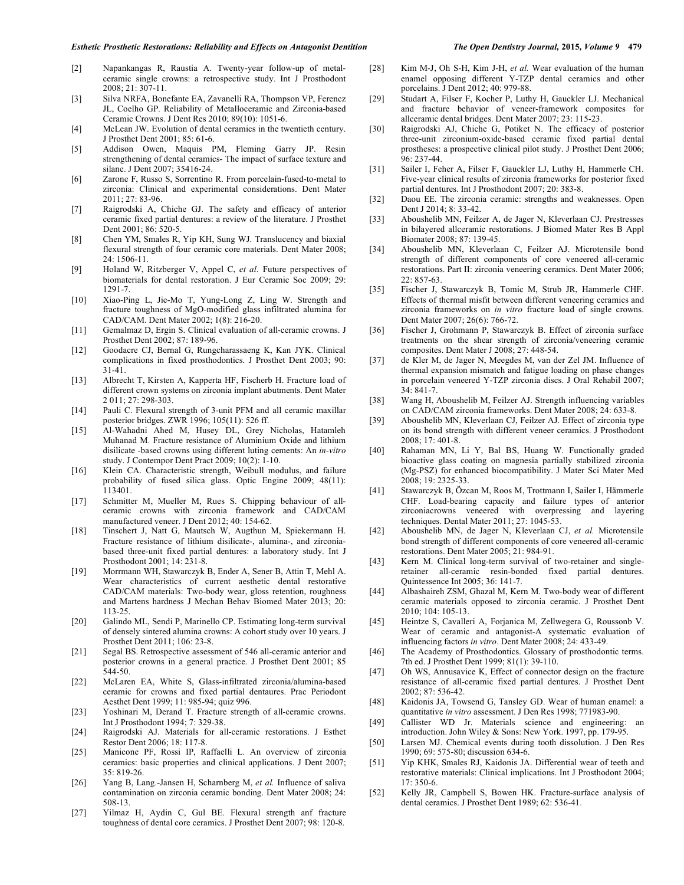- [2] Napankangas R, Raustia A. Twenty-year follow-up of metalceramic single crowns: a retrospective study. Int J Prosthodont 2008; 21: 307-11.
- [3] Silva NRFA, Bonefante EA, Zavanelli RA, Thompson VP, Ferencz JL, Coelho GP. Reliability of Metalloceramic and Zirconia-based Ceramic Crowns. J Dent Res 2010; 89(10): 1051-6.
- [4] McLean JW. Evolution of dental ceramics in the twentieth century. J Prosthet Dent 2001; 85: 61-6.
- [5] Addison Owen, Maquis PM, Fleming Garry JP. Resin strengthening of dental ceramics- The impact of surface texture and silane. J Dent 2007; 35416-24.
- [6] Zarone F, Russo S, Sorrentino R. From porcelain-fused-to-metal to zirconia: Clinical and experimental considerations. Dent Mater 2011; 27: 83-96.
- [7] Raigrodski A, Chiche GJ. The safety and efficacy of anterior ceramic fixed partial dentures: a review of the literature. J Prosthet Dent 2001; 86: 520-5.
- [8] Chen YM, Smales R, Yip KH, Sung WJ. Translucency and biaxial flexural strength of four ceramic core materials. Dent Mater 2008; 24: 1506-11.
- [9] Holand W, Ritzberger V, Appel C, *et al.* Future perspectives of biomaterials for dental restoration. J Eur Ceramic Soc 2009; 29: 1291-7.
- [10] Xiao-Ping L, Jie-Mo T, Yung-Long Z, Ling W. Strength and fracture toughness of MgO-modified glass infiltrated alumina for CAD/CAM. Dent Mater 2002; 1(8): 216-20.
- [11] Gemalmaz D, Ergin S. Clinical evaluation of all-ceramic crowns. J Prosthet Dent 2002; 87: 189-96.
- [12] Goodacre CJ, Bernal G, Rungcharassaeng K, Kan JYK. Clinical complications in fixed prosthodontics. J Prosthet Dent 2003; 90: 31-41.
- [13] Albrecht T, Kirsten A, Kapperta HF, Fischerb H. Fracture load of different crown systems on zirconia implant abutments. Dent Mater 2 011; 27: 298-303.
- [14] Pauli C. Flexural strength of 3-unit PFM and all ceramic maxillar posterior bridges. ZWR 1996; 105(11): 526 ff.
- [15] Al-Wahadni Ahed M, Husey DL, Grey Nicholas, Hatamleh Muhanad M. Fracture resistance of Aluminium Oxide and lithium disilicate -based crowns using different luting cements: An *in-vitro* study. J Contempor Dent Pract 2009; 10(2): 1-10.
- [16] Klein CA. Characteristic strength, Weibull modulus, and failure probability of fused silica glass. Optic Engine 2009; 48(11): 113401.
- [17] Schmitter M, Mueller M, Rues S. Chipping behaviour of allceramic crowns with zirconia framework and CAD/CAM manufactured veneer. J Dent 2012; 40: 154-62.
- [18] Tinschert J, Natt G, Mautsch W, Augthun M, Spiekermann H. Fracture resistance of lithium disilicate-, alumina-, and zirconiabased three-unit fixed partial dentures: a laboratory study. Int J Prosthodont 2001; 14: 231-8.
- [19] Morrmann WH, Stawarczyk B, Ender A, Sener B, Attin T, Mehl A. Wear characteristics of current aesthetic dental restorative CAD/CAM materials: Two-body wear, gloss retention, roughness and Martens hardness J Mechan Behav Biomed Mater 2013; 20: 113-25.
- [20] Galindo ML, Sendi P, Marinello CP. Estimating long-term survival of densely sintered alumina crowns: A cohort study over 10 years. J Prosthet Dent 2011; 106: 23-8.
- [21] Segal BS. Retrospective assessment of 546 all-ceramic anterior and posterior crowns in a general practice. J Prosthet Dent 2001; 85 544-50.
- [22] McLaren EA, White S, Glass-infiltrated zirconia/alumina-based ceramic for crowns and fixed partial dentaures. Prac Periodont Aesthet Dent 1999; 11: 985-94; quiz 996.
- [23] Yoshinari M, Derand T. Fracture strength of all-ceramic crowns. Int J Prosthodont 1994; 7: 329-38.
- [24] Raigrodski AJ. Materials for all-ceramic restorations. J Esthet Restor Dent 2006; 18: 117-8.
- [25] Manicone PF, Rossi IP, Raffaelli L. An overview of zirconia ceramics: basic properties and clinical applications. J Dent 2007; 35: 819-26.
- [26] Yang B, Lang.-Jansen H, Scharnberg M, *et al.* Influence of saliva contamination on zirconia ceramic bonding. Dent Mater 2008; 24: 508-13.
- [27] Yilmaz H, Aydin C, Gul BE. Flexural strength anf fracture toughness of dental core ceramics. J Prosthet Dent 2007; 98: 120-8.
- [28] Kim M-J, Oh S-H, Kim J-H, *et al.* Wear evaluation of the human enamel opposing different Y-TZP dental ceramics and other porcelains. J Dent 2012; 40: 979-88.
- [29] Studart A, Filser F, Kocher P, Luthy H, Gauckler LJ. Mechanical and fracture behavior of veneer-framework composites for allceramic dental bridges. Dent Mater 2007; 23: 115-23.
- [30] Raigrodski AJ, Chiche G, Potiket N. The efficacy of posterior three-unit zirconium-oxide-based ceramic fixed partial dental prostheses: a prospective clinical pilot study. J Prosthet Dent 2006; 96: 237-44.
- [31] Sailer I, Feher A, Filser F, Gauckler LJ, Luthy H, Hammerle CH. Five-year clinical results of zirconia frameworks for posterior fixed partial dentures. Int J Prosthodont 2007; 20: 383-8.
- [32] Daou EE. The zirconia ceramic: strengths and weaknesses. Open Dent J 2014; 8: 33-42.
- [33] Aboushelib MN, Feilzer A, de Jager N, Kleverlaan CJ. Prestresses in bilayered allceramic restorations. J Biomed Mater Res B Appl Biomater 2008; 87: 139-45.
- [34] Aboushelib MN, Kleverlaan C, Feilzer AJ. Microtensile bond strength of different components of core veneered all-ceramic restorations. Part II: zirconia veneering ceramics. Dent Mater 2006; 22: 857-63.
- [35] Fischer J, Stawarczyk B, Tomic M, Strub JR, Hammerle CHF. Effects of thermal misfit between different veneering ceramics and zirconia frameworks on *in vitro* fracture load of single crowns. Dent Mater 2007; 26(6): 766-72.
- [36] Fischer J, Grohmann P, Stawarczyk B. Effect of zirconia surface treatments on the shear strength of zirconia/veneering ceramic composites. Dent Mater J 2008; 27: 448-54.
- [37] de Kler M, de Jager N, Meegdes M, van der Zel JM. Influence of thermal expansion mismatch and fatigue loading on phase changes in porcelain veneered Y-TZP zirconia discs. J Oral Rehabil 2007; 34: 841-7.
- [38] Wang H, Aboushelib M, Feilzer AJ. Strength influencing variables on CAD/CAM zirconia frameworks. Dent Mater 2008; 24: 633-8.
- [39] Aboushelib MN, Kleverlaan CJ, Feilzer AJ. Effect of zirconia type on its bond strength with different veneer ceramics. J Prosthodont  $2008: 17: 401-8$
- [40] Rahaman MN, Li Y, Bal BS, Huang W. Functionally graded bioactive glass coating on magnesia partially stabilized zirconia (Mg-PSZ) for enhanced biocompatibility. J Mater Sci Mater Med 2008; 19: 2325-33.
- [41] Stawarczyk B, Özcan M, Roos M, Trottmann I, Sailer I, Hämmerle CHF. Load-bearing capacity and failure types of anterior zirconiacrowns veneered with overpressing and layering techniques. Dental Mater 2011; 27: 1045-53.
- [42] Aboushelib MN, de Jager N, Kleverlaan CJ, *et al.* Microtensile bond strength of different components of core veneered all-ceramic restorations. Dent Mater 2005; 21: 984-91.
- [43] Kern M. Clinical long-term survival of two-retainer and singleretainer all-ceramic resin-bonded fixed partial dentures. Quintessence Int 2005; 36: 141-7.
- [44] Albashaireh ZSM, Ghazal M, Kern M. Two-body wear of different ceramic materials opposed to zirconia ceramic. J Prosthet Dent 2010; 104: 105-13.
- [45] Heintze S, Cavalleri A, Forjanica M, Zellwegera G, Roussonb V. Wear of ceramic and antagonist-A systematic evaluation of influencing factors *in vitro*. Dent Mater 2008; 24: 433-49.
- [46] The Academy of Prosthodontics. Glossary of prosthodontic terms. 7th ed. J Prosthet Dent 1999; 81(1): 39-110.
- [47] Oh WS, Annusavice K, Effect of connector design on the fracture resistance of all-ceramic fixed partial dentures. J Prosthet Dent 2002; 87: 536-42.
- [48] Kaidonis JA, Towsend G, Tansley GD. Wear of human enamel: a quantitative *in vitro* assessment. J Den Res 1998; 771983-90.
- [49] Callister WD Jr. Materials science and engineering: introduction. John Wiley & Sons: New York. 1997, pp. 179-95.
- [50] Larsen MJ. Chemical events during tooth dissolution. J Den Res 1990; 69: 575-80; discussion 634-6.
- [51] Yip KHK, Smales RJ, Kaidonis JA. Differential wear of teeth and restorative materials: Clinical implications. Int J Prosthodont 2004; 17: 350-6.
- [52] Kelly JR, Campbell S, Bowen HK. Fracture-surface analysis of dental ceramics. J Prosthet Dent 1989; 62: 536-41.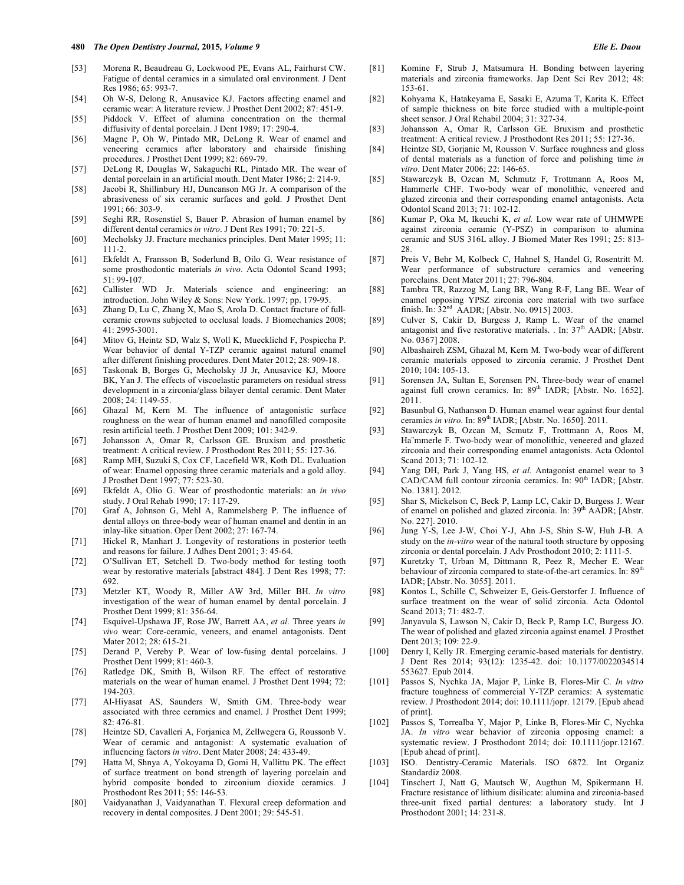- [53] Morena R, Beaudreau G, Lockwood PE, Evans AL, Fairhurst CW. Fatigue of dental ceramics in a simulated oral environment. J Dent Res 1986; 65: 993-7.
- [54] Oh W-S, Delong R, Anusavice KJ. Factors affecting enamel and ceramic wear: A literature review. J Prosthet Dent 2002; 87: 451-9.
- [55] Piddock V. Effect of alumina concentration on the thermal diffusivity of dental porcelain. J Dent 1989; 17: 290-4.
- [56] Magne P, Oh W, Pintado MR, DeLong R. Wear of enamel and veneering ceramics after laboratory and chairside finishing procedures. J Prosthet Dent 1999; 82: 669-79.
- [57] DeLong R, Douglas W, Sakaguchi RL, Pintado MR. The wear of dental porcelain in an artificial mouth. Dent Mater 1986; 2: 214-9.
- [58] Jacobi R, Shillinbury HJ, Duncanson MG Jr. A comparison of the abrasiveness of six ceramic surfaces and gold. J Prosthet Dent 1991; 66: 303-9.
- [59] Seghi RR, Rosenstiel S, Bauer P. Abrasion of human enamel by different dental ceramics *in vitro*. J Dent Res 1991; 70: 221-5.
- [60] Mecholsky JJ. Fracture mechanics principles. Dent Mater 1995; 11: 111-2.
- [61] Ekfeldt A, Fransson B, Soderlund B, Oilo G. Wear resistance of some prosthodontic materials *in vivo*. Acta Odontol Scand 1993; 51: 99-107.
- [62] Callister WD Jr. Materials science and engineering: an introduction. John Wiley & Sons: New York. 1997; pp. 179-95.
- [63] Zhang D, Lu C, Zhang X, Mao S, Arola D. Contact fracture of fullceramic crowns subjected to occlusal loads. J Biomechanics 2008; 41: 2995-3001.
- [64] Mitov G, Heintz SD, Walz S, Woll K, Muecklichd F, Pospiecha P. Wear behavior of dental Y-TZP ceramic against natural enamel after different finishing procedures. Dent Mater 2012; 28: 909-18.
- [65] Taskonak B, Borges G, Mecholsky JJ Jr, Anusavice KJ, Moore BK, Yan J. The effects of viscoelastic parameters on residual stress development in a zirconia/glass bilayer dental ceramic. Dent Mater 2008; 24: 1149-55.
- [66] Ghazal M, Kern M. The influence of antagonistic surface roughness on the wear of human enamel and nanofilled composite resin artificial teeth. J Prosthet Dent 2009; 101: 342-9.
- [67] Johansson A, Omar R, Carlsson GE. Bruxism and prosthetic treatment: A critical review. J Prosthodont Res 2011; 55: 127-36.
- [68] Ramp MH, Suzuki S, Cox CF, Lacefield WR, Koth DL. Evaluation of wear: Enamel opposing three ceramic materials and a gold alloy. J Prosthet Dent 1997; 77: 523-30.
- [69] Ekfeldt A, Olio G. Wear of prosthodontic materials: an *in vivo* study. J Oral Rehab 1990; 17: 117-29.
- [70] Graf A, Johnson G, Mehl A, Rammelsberg P. The influence of dental alloys on three-body wear of human enamel and dentin in an inlay-like situation. Oper Dent 2002; 27: 167-74.
- [71] Hickel R, Manhart J. Longevity of restorations in posterior teeth and reasons for failure. J Adhes Dent 2001; 3: 45-64.
- [72] O'Sullivan ET, Setchell D. Two-body method for testing tooth wear by restorative materials [abstract 484]. J Dent Res 1998; 77: 692.
- [73] Metzler KT, Woody R, Miller AW 3rd, Miller BH. *In vitro* investigation of the wear of human enamel by dental porcelain. J Prosthet Dent 1999; 81: 356-64.
- [74] Esquivel-Upshawa JF, Rose JW, Barrett AA, *et al.* Three years *in vivo* wear: Core-ceramic, veneers, and enamel antagonists. Dent Mater 2012; 28: 615-21.
- [75] Derand P, Vereby P. Wear of low-fusing dental porcelains. J Prosthet Dent 1999; 81: 460-3.
- [76] Ratledge DK, Smith B, Wilson RF. The effect of restorative materials on the wear of human enamel. J Prosthet Dent 1994; 72: 194-203.
- [77] Al-Hiyasat AS, Saunders W, Smith GM. Three-body wear associated with three ceramics and enamel. J Prosthet Dent 1999; 82: 476-81.
- [78] Heintze SD, Cavalleri A, Forjanica M, Zellwegera G, Roussonb V. Wear of ceramic and antagonist: A systematic evaluation of influencing factors *in vitro*. Dent Mater 2008; 24: 433-49.
- [79] Hatta M, Shnya A, Yokoyama D, Gomi H, Vallittu PK. The effect of surface treatment on bond strength of layering porcelain and hybrid composite bonded to zirconium dioxide ceramics. J Prosthodont Res 2011; 55: 146-53.
- [80] Vaidyanathan J, Vaidyanathan T. Flexural creep deformation and recovery in dental composites. J Dent 2001; 29: 545-51.
- [81] Komine F, Strub J, Matsumura H. Bonding between layering materials and zirconia frameworks. Jap Dent Sci Rev 2012; 48: 153-61.
- [82] Kohyama K, Hatakeyama E, Sasaki E, Azuma T, Karita K. Effect of sample thickness on bite force studied with a multiple-point sheet sensor. J Oral Rehabil 2004; 31: 327-34.
- [83] Johansson A, Omar R, Carlsson GE. Bruxism and prosthetic treatment: A critical review. J Prosthodont Res 2011; 55: 127-36.
- [84] Heintze SD, Gorjanic M, Rousson V. Surface roughness and gloss of dental materials as a function of force and polishing time *in vitro.* Dent Mater 2006; 22: 146-65.
- [85] Stawarczyk B, Ozcan M, Schmutz F, Trottmann A, Roos M, Hammerle CHF. Two-body wear of monolithic, veneered and glazed zirconia and their corresponding enamel antagonists. Acta Odontol Scand 2013; 71: 102-12.
- [86] Kumar P, Oka M, Ikeuchi K, *et al.* Low wear rate of UHMWPE against zirconia ceramic (Y-PSZ) in comparison to alumina ceramic and SUS 316L alloy. J Biomed Mater Res 1991; 25: 813- 28.
- [87] Preis V, Behr M, Kolbeck C, Hahnel S, Handel G, Rosentritt M. Wear performance of substructure ceramics and veneering porcelains. Dent Mater 2011; 27: 796-804.
- [88] Tambra TR, Razzog M, Lang BR, Wang R-F, Lang BE. Wear of enamel opposing YPSZ zirconia core material with two surface finish. In: 32nd AADR; [Abstr. No. 0915] 2003.
- [89] Culver S, Cakir D, Burgess J, Ramp L. Wear of the enamel antagonist and five restorative materials. . In: 37<sup>th</sup> AADR; [Abstr. No. 0367] 2008.
- [90] Albashaireh ZSM, Ghazal M, Kern M. Two-body wear of different ceramic materials opposed to zirconia ceramic. J Prosthet Dent 2010; 104: 105-13.
- [91] Sorensen JA, Sultan E, Sorensen PN. Three-body wear of enamel against full crown ceramics. In: 89<sup>th</sup> IADR; [Abstr. No. 1652]. 2011.
- [92] Basunbul G, Nathanson D. Human enamel wear against four dental ceramics *in vitro*. In: 89<sup>th</sup> IADR; [Abstr. No. 1650]. 2011.
- [93] Stawarczyk B, Ozcan M, Scmutz F, Trottmann A, Roos M, Ha¨mmerle F. Two-body wear of monolithic, veneered and glazed zirconia and their corresponding enamel antagonists. Acta Odontol Scand 2013; 71: 102-12.
- [94] Yang DH, Park J, Yang HS, *et al.* Antagonist enamel wear to 3 CAD/CAM full contour zirconia ceramics. In: 90<sup>th</sup> IADR; [Abstr. No. 1381]. 2012.
- [95] Shar S, Mickelson C, Beck P, Lamp LC, Cakir D, Burgess J. Wear of enamel on polished and glazed zirconia. In: 39<sup>th</sup> AADR; [Abstr. No. 227]. 2010.
- [96] Jung Y-S, Lee J-W, Choi Y-J, Ahn J-S, Shin S-W, Huh J-B. A study on the *in-vitro* wear of the natural tooth structure by opposing zirconia or dental porcelain. J Adv Prosthodont 2010; 2: 1111-5.
- [97] Kuretzky T, Urban M, Dittmann R, Peez R, Mecher E. Wear behaviour of zirconia compared to state-of-the-art ceramics. In: 89<sup>th</sup> IADR; [Abstr. No. 3055]. 2011.
- [98] Kontos L, Schille C, Schweizer E, Geis-Gerstorfer J. Influence of surface treatment on the wear of solid zirconia. Acta Odontol Scand 2013; 71: 482-7.
- [99] Janyavula S, Lawson N, Cakir D, Beck P, Ramp LC, Burgess JO. The wear of polished and glazed zirconia against enamel. J Prosthet Dent 2013; 109: 22-9.
- [100] Denry I, Kelly JR. Emerging ceramic-based materials for dentistry. J Dent Res 2014; 93(12): 1235-42. doi: 10.1177/0022034514 553627. Epub 2014.
- [101] Passos S, Nychka JA, Major P, Linke B, Flores-Mir C. *In vitro* fracture toughness of commercial Y-TZP ceramics: A systematic review. J Prosthodont 2014; doi: 10.1111/jopr. 12179. [Epub ahead of print].
- [102] Passos S, Torrealba Y, Major P, Linke B, Flores-Mir C, Nychka JA. *In vitro* wear behavior of zirconia opposing enamel: a systematic review. J Prosthodont 2014; doi: 10.1111/jopr.12167. [Epub ahead of print].
- [103] ISO. Dentistry-Ceramic Materials. ISO 6872. Int Organiz Standardiz 2008.
- [104] Tinschert J, Natt G, Mautsch W, Augthun M, Spikermann H. Fracture resistance of lithium disilicate: alumina and zirconia-based three-unit fixed partial dentures: a laboratory study. Int J Prosthodont 2001; 14: 231-8.